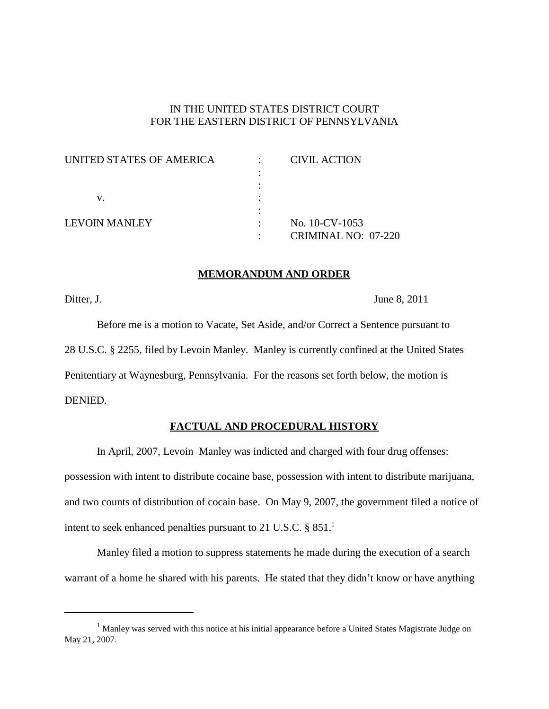# IN THE UNITED STATES DISTRICT COURT FOR THE EASTERN DISTRICT OF PENNSYLVANIA

| UNITED STATES OF AMERICA | <b>CIVIL ACTION</b>        |
|--------------------------|----------------------------|
|                          |                            |
|                          |                            |
| V.                       |                            |
|                          |                            |
| LEVOIN MANLEY            | No. 10-CV-1053             |
|                          | <b>CRIMINAL NO: 07-220</b> |

# **MEMORANDUM AND ORDER**

Ditter, J. June 8, 2011

Before me is a motion to Vacate, Set Aside, and/or Correct a Sentence pursuant to 28 U.S.C. § 2255, filed by Levoin Manley. Manley is currently confined at the United States Penitentiary at Waynesburg, Pennsylvania. For the reasons set forth below, the motion is DENIED.

# **FACTUAL AND PROCEDURAL HISTORY**

In April, 2007, Levoin Manley was indicted and charged with four drug offenses: possession with intent to distribute cocaine base, possession with intent to distribute marijuana, and two counts of distribution of cocain base. On May 9, 2007, the government filed a notice of intent to seek enhanced penalties pursuant to 21 U.S.C. § 851. 1

Manley filed a motion to suppress statements he made during the execution of a search warrant of a home he shared with his parents. He stated that they didn't know or have anything

<sup>&</sup>lt;sup>1</sup> Manley was served with this notice at his initial appearance before a United States Magistrate Judge on May 21, 2007.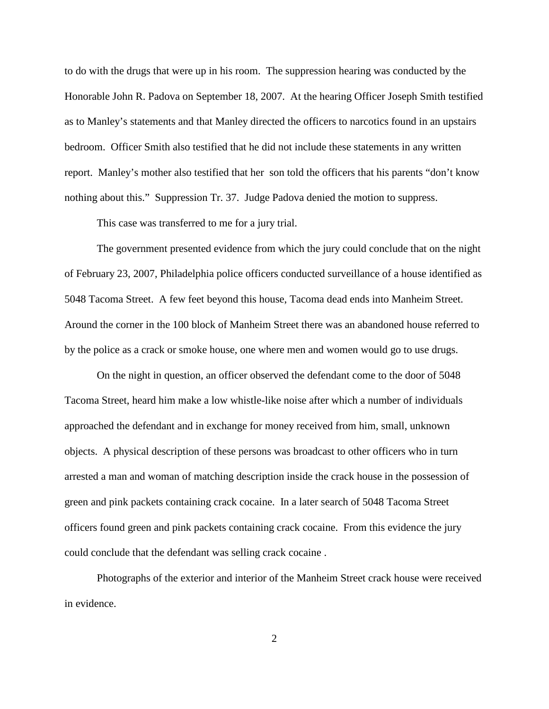to do with the drugs that were up in his room. The suppression hearing was conducted by the Honorable John R. Padova on September 18, 2007. At the hearing Officer Joseph Smith testified as to Manley's statements and that Manley directed the officers to narcotics found in an upstairs bedroom. Officer Smith also testified that he did not include these statements in any written report. Manley's mother also testified that her son told the officers that his parents "don't know nothing about this." Suppression Tr. 37. Judge Padova denied the motion to suppress.

This case was transferred to me for a jury trial.

The government presented evidence from which the jury could conclude that on the night of February 23, 2007, Philadelphia police officers conducted surveillance of a house identified as 5048 Tacoma Street. A few feet beyond this house, Tacoma dead ends into Manheim Street. Around the corner in the 100 block of Manheim Street there was an abandoned house referred to by the police as a crack or smoke house, one where men and women would go to use drugs.

On the night in question, an officer observed the defendant come to the door of 5048 Tacoma Street, heard him make a low whistle-like noise after which a number of individuals approached the defendant and in exchange for money received from him, small, unknown objects. A physical description of these persons was broadcast to other officers who in turn arrested a man and woman of matching description inside the crack house in the possession of green and pink packets containing crack cocaine. In a later search of 5048 Tacoma Street officers found green and pink packets containing crack cocaine. From this evidence the jury could conclude that the defendant was selling crack cocaine .

Photographs of the exterior and interior of the Manheim Street crack house were received in evidence.

2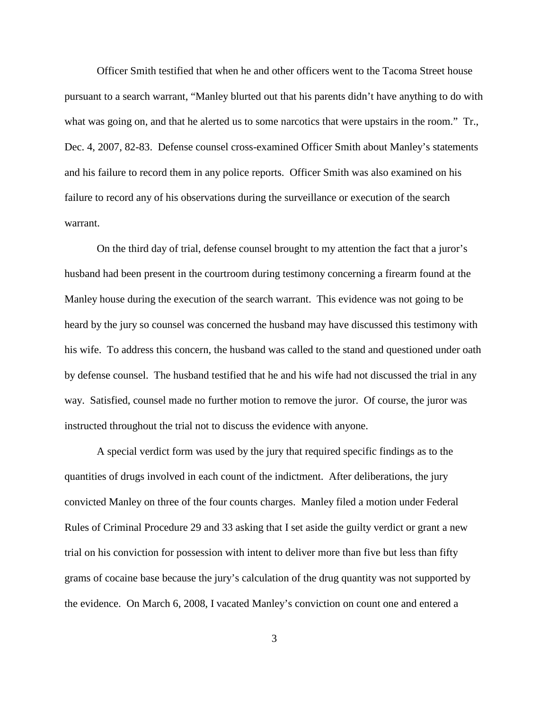Officer Smith testified that when he and other officers went to the Tacoma Street house pursuant to a search warrant, "Manley blurted out that his parents didn't have anything to do with what was going on, and that he alerted us to some narcotics that were upstairs in the room." Tr., Dec. 4, 2007, 82-83. Defense counsel cross-examined Officer Smith about Manley's statements and his failure to record them in any police reports. Officer Smith was also examined on his failure to record any of his observations during the surveillance or execution of the search warrant.

On the third day of trial, defense counsel brought to my attention the fact that a juror's husband had been present in the courtroom during testimony concerning a firearm found at the Manley house during the execution of the search warrant. This evidence was not going to be heard by the jury so counsel was concerned the husband may have discussed this testimony with his wife. To address this concern, the husband was called to the stand and questioned under oath by defense counsel. The husband testified that he and his wife had not discussed the trial in any way. Satisfied, counsel made no further motion to remove the juror. Of course, the juror was instructed throughout the trial not to discuss the evidence with anyone.

A special verdict form was used by the jury that required specific findings as to the quantities of drugs involved in each count of the indictment. After deliberations, the jury convicted Manley on three of the four counts charges. Manley filed a motion under Federal Rules of Criminal Procedure 29 and 33 asking that I set aside the guilty verdict or grant a new trial on his conviction for possession with intent to deliver more than five but less than fifty grams of cocaine base because the jury's calculation of the drug quantity was not supported by the evidence. On March 6, 2008, I vacated Manley's conviction on count one and entered a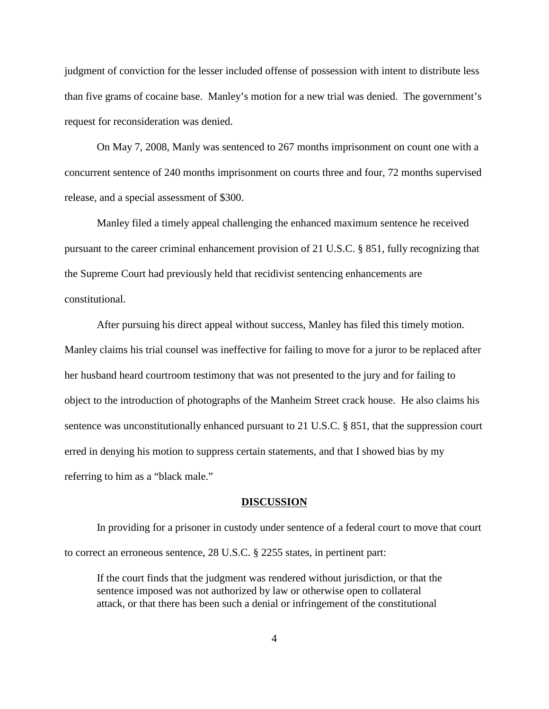judgment of conviction for the lesser included offense of possession with intent to distribute less than five grams of cocaine base. Manley's motion for a new trial was denied. The government's request for reconsideration was denied.

On May 7, 2008, Manly was sentenced to 267 months imprisonment on count one with a concurrent sentence of 240 months imprisonment on courts three and four, 72 months supervised release, and a special assessment of \$300.

Manley filed a timely appeal challenging the enhanced maximum sentence he received pursuant to the career criminal enhancement provision of 21 U.S.C. § 851, fully recognizing that the Supreme Court had previously held that recidivist sentencing enhancements are constitutional.

After pursuing his direct appeal without success, Manley has filed this timely motion. Manley claims his trial counsel was ineffective for failing to move for a juror to be replaced after her husband heard courtroom testimony that was not presented to the jury and for failing to object to the introduction of photographs of the Manheim Street crack house. He also claims his sentence was unconstitutionally enhanced pursuant to 21 U.S.C. § 851, that the suppression court erred in denying his motion to suppress certain statements, and that I showed bias by my referring to him as a "black male."

## **DISCUSSION**

In providing for a prisoner in custody under sentence of a federal court to move that court to correct an erroneous sentence, 28 U.S.C. § 2255 states, in pertinent part:

If the court finds that the judgment was rendered without jurisdiction, or that the sentence imposed was not authorized by law or otherwise open to collateral attack, or that there has been such a denial or infringement of the constitutional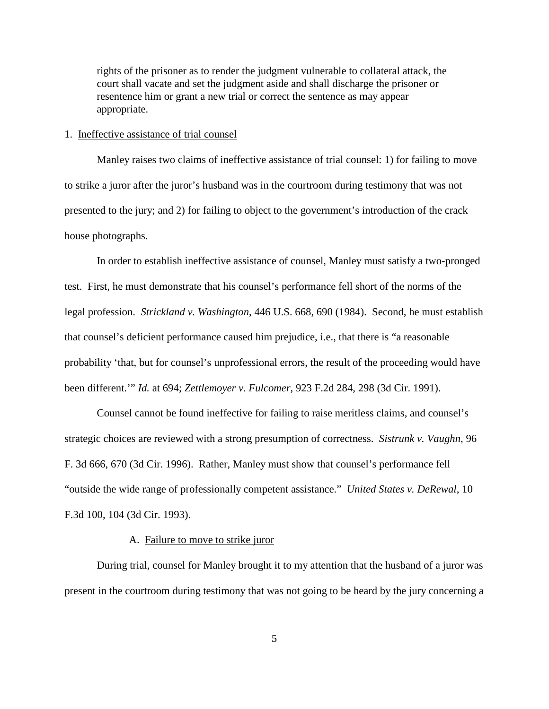rights of the prisoner as to render the judgment vulnerable to collateral attack, the court shall vacate and set the judgment aside and shall discharge the prisoner or resentence him or grant a new trial or correct the sentence as may appear appropriate.

#### 1. Ineffective assistance of trial counsel

Manley raises two claims of ineffective assistance of trial counsel: 1) for failing to move to strike a juror after the juror's husband was in the courtroom during testimony that was not presented to the jury; and 2) for failing to object to the government's introduction of the crack house photographs.

In order to establish ineffective assistance of counsel, Manley must satisfy a two-pronged test. First, he must demonstrate that his counsel's performance fell short of the norms of the legal profession. *Strickland v. Washington*, 446 U.S. 668, 690 (1984). Second, he must establish that counsel's deficient performance caused him prejudice, i.e., that there is "a reasonable probability 'that, but for counsel's unprofessional errors, the result of the proceeding would have been different.'" *Id.* at 694; *Zettlemoyer v. Fulcomer*, 923 F.2d 284, 298 (3d Cir. 1991).

Counsel cannot be found ineffective for failing to raise meritless claims, and counsel's strategic choices are reviewed with a strong presumption of correctness. *Sistrunk v. Vaughn*, 96 F. 3d 666, 670 (3d Cir. 1996). Rather, Manley must show that counsel's performance fell "outside the wide range of professionally competent assistance." *United States v. DeRewal*, 10 F.3d 100, 104 (3d Cir. 1993).

#### A. Failure to move to strike juror

During trial, counsel for Manley brought it to my attention that the husband of a juror was present in the courtroom during testimony that was not going to be heard by the jury concerning a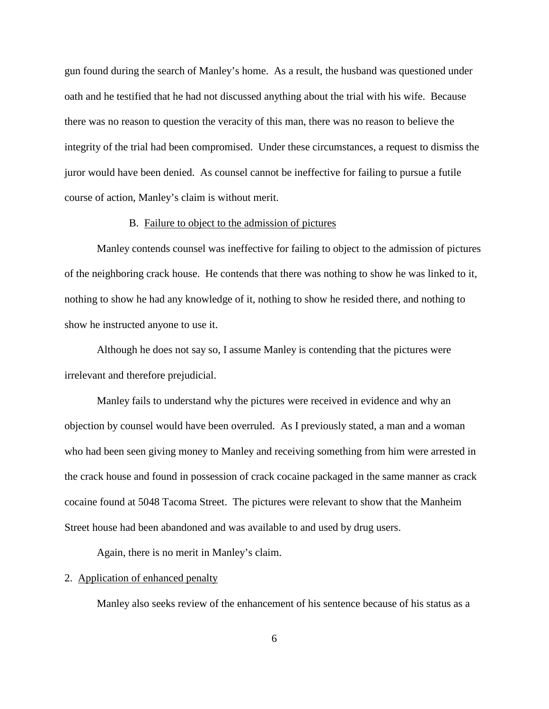gun found during the search of Manley's home. As a result, the husband was questioned under oath and he testified that he had not discussed anything about the trial with his wife. Because there was no reason to question the veracity of this man, there was no reason to believe the integrity of the trial had been compromised. Under these circumstances, a request to dismiss the juror would have been denied. As counsel cannot be ineffective for failing to pursue a futile course of action, Manley's claim is without merit.

# B. Failure to object to the admission of pictures

Manley contends counsel was ineffective for failing to object to the admission of pictures of the neighboring crack house. He contends that there was nothing to show he was linked to it, nothing to show he had any knowledge of it, nothing to show he resided there, and nothing to show he instructed anyone to use it.

Although he does not say so, I assume Manley is contending that the pictures were irrelevant and therefore prejudicial.

Manley fails to understand why the pictures were received in evidence and why an objection by counsel would have been overruled. As I previously stated, a man and a woman who had been seen giving money to Manley and receiving something from him were arrested in the crack house and found in possession of crack cocaine packaged in the same manner as crack cocaine found at 5048 Tacoma Street. The pictures were relevant to show that the Manheim Street house had been abandoned and was available to and used by drug users.

Again, there is no merit in Manley's claim.

# 2. Application of enhanced penalty

Manley also seeks review of the enhancement of his sentence because of his status as a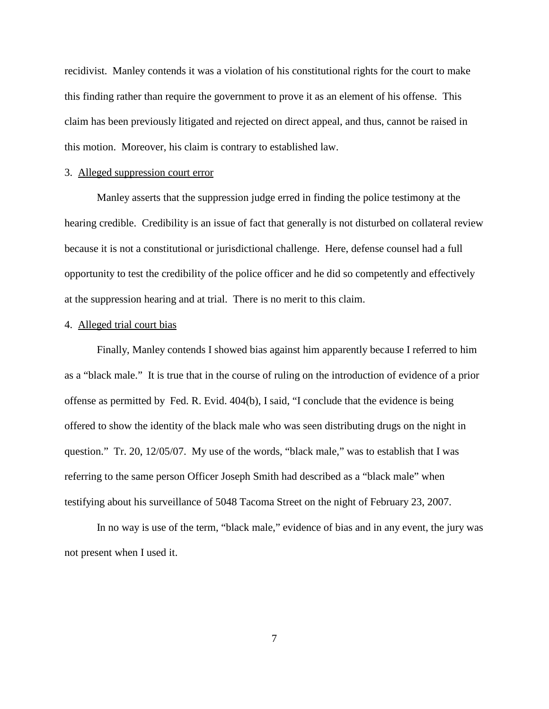recidivist. Manley contends it was a violation of his constitutional rights for the court to make this finding rather than require the government to prove it as an element of his offense. This claim has been previously litigated and rejected on direct appeal, and thus, cannot be raised in this motion. Moreover, his claim is contrary to established law.

# 3. Alleged suppression court error

Manley asserts that the suppression judge erred in finding the police testimony at the hearing credible. Credibility is an issue of fact that generally is not disturbed on collateral review because it is not a constitutional or jurisdictional challenge. Here, defense counsel had a full opportunity to test the credibility of the police officer and he did so competently and effectively at the suppression hearing and at trial. There is no merit to this claim.

# 4. Alleged trial court bias

Finally, Manley contends I showed bias against him apparently because I referred to him as a "black male." It is true that in the course of ruling on the introduction of evidence of a prior offense as permitted by Fed. R. Evid. 404(b), I said, "I conclude that the evidence is being offered to show the identity of the black male who was seen distributing drugs on the night in question." Tr. 20, 12/05/07. My use of the words, "black male," was to establish that I was referring to the same person Officer Joseph Smith had described as a "black male" when testifying about his surveillance of 5048 Tacoma Street on the night of February 23, 2007.

In no way is use of the term, "black male," evidence of bias and in any event, the jury was not present when I used it.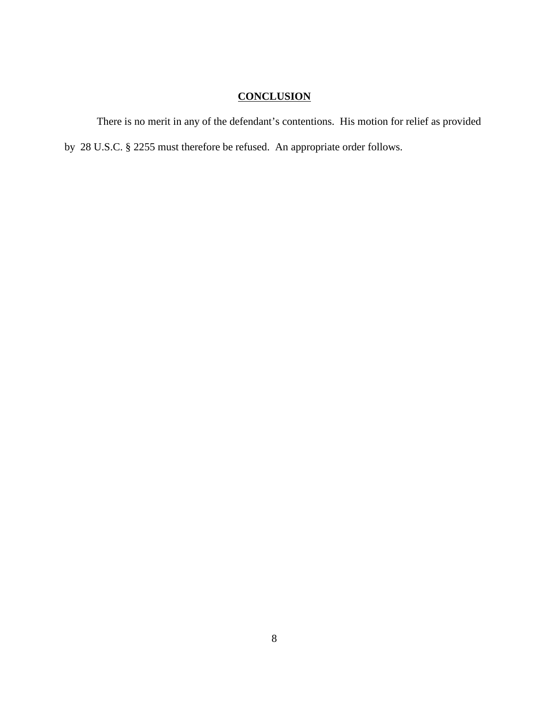# **CONCLUSION**

There is no merit in any of the defendant's contentions. His motion for relief as provided by 28 U.S.C. § 2255 must therefore be refused. An appropriate order follows.